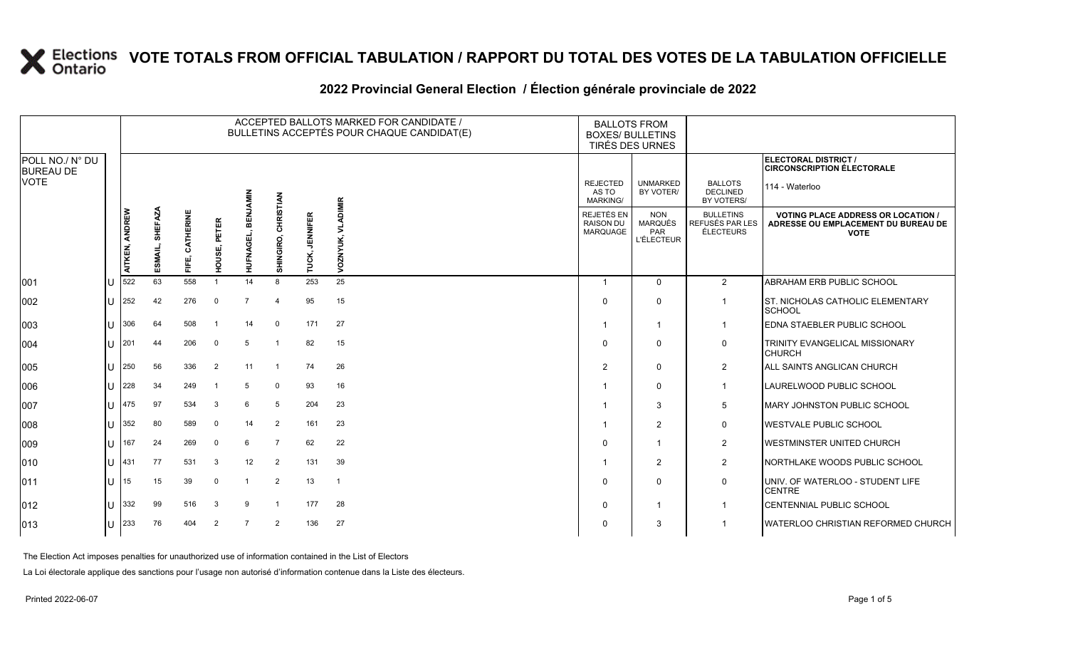### **2022 Provincial General Election / Élection générale provinciale de 2022**

|                                     |     |                       |                           |                      |                 |                      |                        |                          | ACCEPTED BALLOTS MARKED FOR CANDIDATE /<br>BULLETINS ACCEPTÉS POUR CHAQUE CANDIDAT(E) | <b>BALLOTS FROM</b><br><b>BOXES/ BULLETINS</b><br><b>TIRÉS DES URNES</b> |                                                   |                                                  |                                                                                                 |
|-------------------------------------|-----|-----------------------|---------------------------|----------------------|-----------------|----------------------|------------------------|--------------------------|---------------------------------------------------------------------------------------|--------------------------------------------------------------------------|---------------------------------------------------|--------------------------------------------------|-------------------------------------------------------------------------------------------------|
| POLL NO./ N° DU<br><b>BUREAU DE</b> |     |                       |                           |                      |                 |                      |                        |                          |                                                                                       |                                                                          |                                                   |                                                  | ELECTORAL DISTRICT /<br><b>CIRCONSCRIPTION ÉLECTORALE</b>                                       |
| <b>VOTE</b>                         |     |                       |                           |                      |                 |                      |                        |                          |                                                                                       | <b>REJECTED</b><br>AS TO<br><b>MARKING/</b>                              | <b>UNMARKED</b><br>BY VOTER/                      | <b>BALLOTS</b><br><b>DECLINED</b><br>BY VOTERS/  | 114 - Waterloo                                                                                  |
|                                     |     | <b>AITKEN, ANDREW</b> | <b>SHEFAZA</b><br>ESMAIL, | CATHERINE<br>шÎ<br>뚠 | PETER<br>HOUSE, | 읆<br><b>HUFNAGEL</b> | CHRISTIAN<br>SHINGIRO, | <b>JENNIFER</b><br>TUCK, | <b>ADIMIR</b><br><b>VOZNYUK,</b>                                                      | REJETÉS EN<br><b>RAISON DU</b><br><b>MARQUAGE</b>                        | <b>NON</b><br>MARQUÉS<br>PAR<br><b>L'ÉLECTEUR</b> | <b>BULLETINS</b><br>REFUSÉS PAR LES<br>ÉLECTEURS | <b>VOTING PLACE ADDRESS OR LOCATION /</b><br>ADRESSE OU EMPLACEMENT DU BUREAU DE<br><b>VOTE</b> |
| 001                                 | ПT  | 522                   | 63                        | 558                  |                 | 14                   | 8                      | 253                      | 25                                                                                    | $\overline{1}$                                                           | $\Omega$                                          | 2                                                | ABRAHAM ERB PUBLIC SCHOOL                                                                       |
| 002                                 | ΠT  | 252                   | 42                        | 276                  | $\overline{0}$  | $\overline{7}$       | $\overline{4}$         | 95                       | 15                                                                                    | $\mathbf 0$                                                              | $\Omega$                                          | -1                                               | <b>ST. NICHOLAS CATHOLIC ELEMENTARY</b><br><b>SCHOOL</b>                                        |
| 003                                 | IU  | 306                   | 64                        | 508                  | - 1             | 14                   | $\mathbf 0$            | 171                      | 27                                                                                    |                                                                          | -1                                                | -1                                               | EDNA STAEBLER PUBLIC SCHOOL                                                                     |
| 004                                 | IU  | 201                   | 44                        | 206                  | $\overline{0}$  | 5                    | $\mathbf{1}$           | 82                       | 15                                                                                    | 0                                                                        | $\Omega$                                          | 0                                                | TRINITY EVANGELICAL MISSIONARY<br><b>CHURCH</b>                                                 |
| 005                                 | IU  | 250                   | 56                        | 336                  | $\overline{2}$  | 11                   | $\mathbf{1}$           | 74                       | 26                                                                                    | $\overline{2}$                                                           | 0                                                 | $\overline{2}$                                   | ALL SAINTS ANGLICAN CHURCH                                                                      |
| 006                                 | IU  | 228                   | 34                        | 249                  |                 | 5                    | $\mathbf 0$            | 93                       | 16                                                                                    |                                                                          | 0                                                 | $\mathbf 1$                                      | LAURELWOOD PUBLIC SCHOOL                                                                        |
| 007                                 | ΠT  | 475                   | 97                        | 534                  | 3               | 6                    | 5                      | 204                      | 23                                                                                    |                                                                          | 3                                                 | 5                                                | <b>MARY JOHNSTON PUBLIC SCHOOL</b>                                                              |
| 008                                 | ΙU  | 352                   | 80                        | 589                  | $\mathbf 0$     | 14                   | 2                      | 161                      | 23                                                                                    |                                                                          | $\overline{2}$                                    | 0                                                | <b>WESTVALE PUBLIC SCHOOL</b>                                                                   |
| 009                                 | ΠT  | 167                   | 24                        | 269                  | $\overline{0}$  | 6                    | 7                      | 62                       | 22                                                                                    | $\mathbf 0$                                                              | -1                                                | $\overline{2}$                                   | <b>WESTMINSTER UNITED CHURCH</b>                                                                |
| 010                                 | ΠT  | 431                   | 77                        | 531                  | 3               | 12                   | 2                      | 131                      | 39                                                                                    |                                                                          | 2                                                 | $\overline{2}$                                   | NORTHLAKE WOODS PUBLIC SCHOOL                                                                   |
| 011                                 | ΠT  | 15                    | 15                        | 39                   | $\overline{0}$  |                      | 2                      | 13                       | $\overline{1}$                                                                        | $\mathbf 0$                                                              | $\Omega$                                          | 0                                                | UNIV. OF WATERLOO - STUDENT LIFE<br><b>CENTRE</b>                                               |
| 012                                 | I U | 332                   | 99                        | 516                  | -3              | 9                    | -1                     | 177                      | 28                                                                                    | 0                                                                        |                                                   | -1                                               | CENTENNIAL PUBLIC SCHOOL                                                                        |
| 013                                 | IU  | 233                   | 76                        | 404                  | $\overline{2}$  | $\overline{7}$       | 2                      | 136                      | 27                                                                                    | $\mathbf 0$                                                              | 3                                                 |                                                  | WATERLOO CHRISTIAN REFORMED CHURCH                                                              |

The Election Act imposes penalties for unauthorized use of information contained in the List of Electors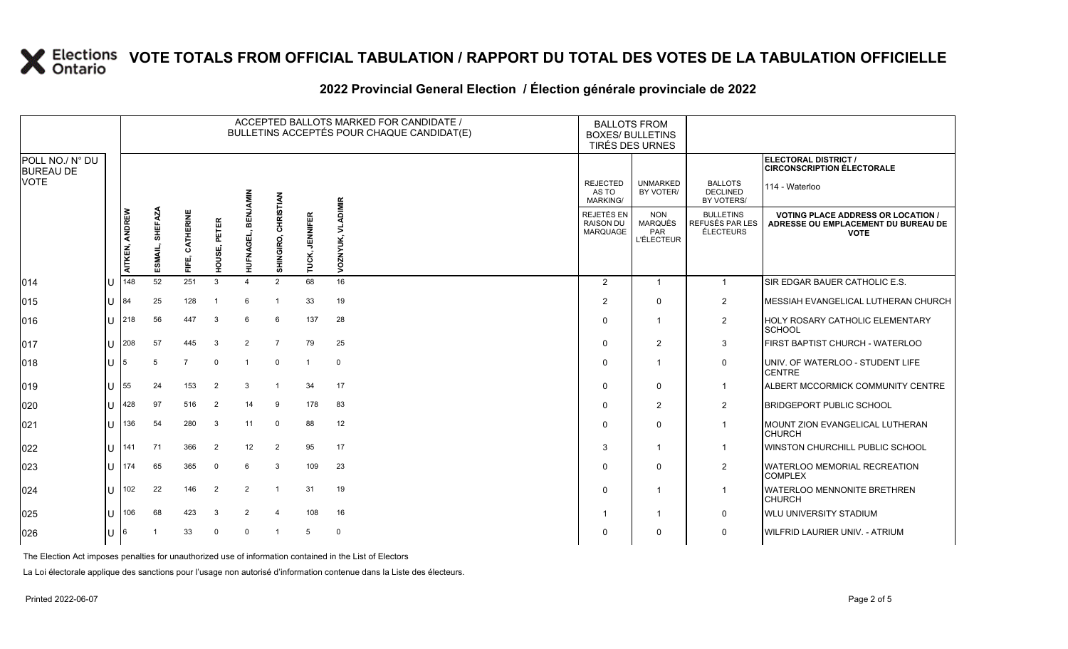### **2022 Provincial General Election / Élection générale provinciale de 2022**

|                                     |              |                                  |                |                  |                 |                                  |                               |                          | ACCEPTED BALLOTS MARKED FOR CANDIDATE /<br>BULLETINS ACCEPTÉS POUR CHAQUE CANDIDAT(E) | <b>BALLOTS FROM</b><br><b>BOXES/ BULLETINS</b><br>TIRÉS DES URNES |                                             |                                                          |                                                  |                                                                                                 |
|-------------------------------------|--------------|----------------------------------|----------------|------------------|-----------------|----------------------------------|-------------------------------|--------------------------|---------------------------------------------------------------------------------------|-------------------------------------------------------------------|---------------------------------------------|----------------------------------------------------------|--------------------------------------------------|-------------------------------------------------------------------------------------------------|
| POLL NO./ N° DU<br><b>BUREAU DE</b> |              |                                  |                |                  |                 |                                  |                               |                          |                                                                                       |                                                                   |                                             |                                                          |                                                  | ELECTORAL DISTRICT /<br><b>CIRCONSCRIPTION ÉLECTORALE</b>                                       |
| <b>VOTE</b>                         |              |                                  |                |                  |                 | WINN                             |                               |                          |                                                                                       |                                                                   | <b>REJECTED</b><br>AS TO<br><b>MARKING/</b> | <b>UNMARKED</b><br>BY VOTER/                             | <b>BALLOTS</b><br><b>DECLINED</b><br>BY VOTERS/  | 114 - Waterloo                                                                                  |
|                                     |              | <b>AITKEN, ANDREW</b><br>ESMAIL, | <b>SHEFAZA</b> | CATHERINE<br>F⊫, | PETER<br>HOUSE, | m<br>画<br>FNAGI<br>5<br><b>I</b> | <b>CHRISTIAN</b><br>SHINGIRO, | <b>JENNIFER</b><br>TUCK, | <b>VLADIMIR</b><br>VOZNYUK,                                                           |                                                                   | REJETÉS EN<br><b>RAISON DU</b><br>MARQUAGE  | <b>NON</b><br><b>MARQUÉS</b><br>PAR<br><b>L'ÉLECTEUR</b> | <b>BULLETINS</b><br>REFUSÉS PAR LES<br>ÉLECTEURS | <b>VOTING PLACE ADDRESS OR LOCATION /</b><br>ADRESSE OU EMPLACEMENT DU BUREAU DE<br><b>VOTE</b> |
| 014                                 | ΙU           | 148                              | 52             | 251              | 3               | $\boldsymbol{\Lambda}$           | 2                             | 68                       | 16                                                                                    |                                                                   | $\overline{2}$                              | $\mathbf{1}$                                             | $\mathbf{1}$                                     | SIR EDGAR BAUER CATHOLIC E.S.                                                                   |
| 015                                 | U            | 84                               | 25             | 128              |                 | 6                                |                               | 33                       | 19                                                                                    |                                                                   | 2                                           | $\mathbf{0}$                                             | $\overline{2}$                                   | MESSIAH EVANGELICAL LUTHERAN CHURCH                                                             |
| 016                                 | IП           | 218                              | 56             | 447              | 3               | 6                                | 6                             | 137                      | 28                                                                                    |                                                                   | $\Omega$                                    | -1                                                       | $\overline{2}$                                   | HOLY ROSARY CATHOLIC ELEMENTARY<br>SCHOOL                                                       |
| $ 017\rangle$                       | Ш            | 208                              | 57             | 445              | 3               | 2                                | $\overline{7}$                | 79                       | 25                                                                                    |                                                                   | $\Omega$                                    | 2                                                        | 3                                                | FIRST BAPTIST CHURCH - WATERLOO                                                                 |
| $ 018\rangle$                       | U            | 5                                | 5              | $\overline{7}$   | $\mathbf 0$     | $\mathbf{1}$                     | $\Omega$                      | $\overline{1}$           | $\Omega$                                                                              |                                                                   | $\Omega$                                    | -1                                                       | 0                                                | UNIV. OF WATERLOO - STUDENT LIFE<br><b>CENTRE</b>                                               |
| 019                                 | ΙU           | 55                               | 24             | 153              | $\overline{2}$  | 3                                | $\overline{1}$                | 34                       | 17                                                                                    |                                                                   | $\Omega$                                    | $\Omega$                                                 | $\mathbf{1}$                                     | ALBERT MCCORMICK COMMUNITY CENTRE                                                               |
| 020                                 | U            | 428                              | 97             | 516              | $\overline{2}$  | 14                               | -9                            | 178                      | 83                                                                                    |                                                                   | $\Omega$                                    | 2                                                        | $\overline{2}$                                   | <b>BRIDGEPORT PUBLIC SCHOOL</b>                                                                 |
| 021                                 | $\mathbf{U}$ | 136                              | 54             | 280              | 3               | 11                               | $\Omega$                      | 88                       | 12                                                                                    |                                                                   | $\Omega$                                    | $\Omega$                                                 | $\mathbf{1}$                                     | MOUNT ZION EVANGELICAL LUTHERAN<br><b>CHURCH</b>                                                |
| 022                                 | IП           | 141                              | 71             | 366              | $\overline{2}$  | 12                               | 2                             | 95                       | 17                                                                                    |                                                                   | 3                                           | -1                                                       | 1                                                | WINSTON CHURCHILL PUBLIC SCHOOL                                                                 |
| 023                                 | ΠL           | 174                              | 65             | 365              | $\mathbf 0$     | 6                                | 3                             | 109                      | 23                                                                                    |                                                                   | $\Omega$                                    | $\Omega$                                                 | $\overline{2}$                                   | WATERLOO MEMORIAL RECREATION<br><b>COMPLEX</b>                                                  |
| 024                                 | IП           | 102                              | 22             | 146              | $\overline{2}$  | $\overline{2}$                   | $\mathbf{1}$                  | 31                       | 19                                                                                    |                                                                   | $\Omega$                                    | -1                                                       | $\mathbf{1}$                                     | WATERLOO MENNONITE BRETHREN<br><b>CHURCH</b>                                                    |
| 025                                 | IП           | 106                              | 68             | 423              | -3              | 2                                | $\overline{4}$                | 108                      | 16                                                                                    |                                                                   | -1                                          | -1                                                       | $\mathbf 0$                                      | <b>WLU UNIVERSITY STADIUM</b>                                                                   |
| 026                                 | U            | 6                                |                | 33               | $\Omega$        | $\Omega$                         | $\overline{1}$                | 5                        | $\mathbf 0$                                                                           |                                                                   | $\Omega$                                    | $\Omega$                                                 | $\mathbf 0$                                      | WILFRID LAURIER UNIV. - ATRIUM                                                                  |

The Election Act imposes penalties for unauthorized use of information contained in the List of Electors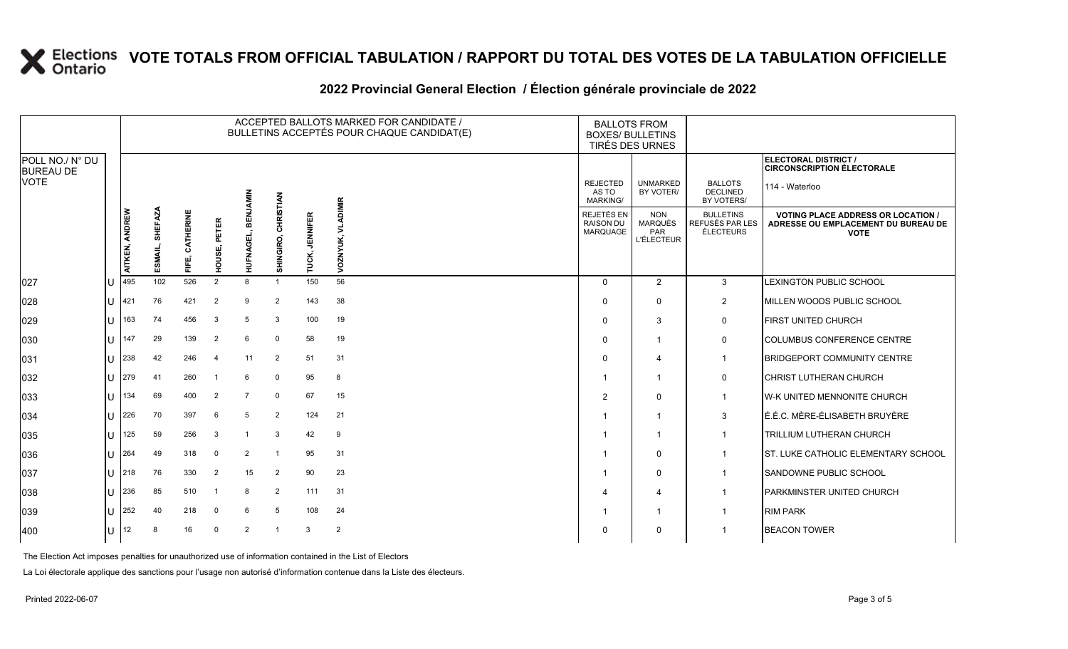### **2022 Provincial General Election / Élection générale provinciale de 2022**

|                                     |              |                |                           |                |                              |                   |                |                          | ACCEPTED BALLOTS MARKED FOR CANDIDATE /<br>BULLETINS ACCEPTÉS POUR CHAQUE CANDIDAT(E) | <b>BALLOTS FROM</b><br><b>BOXES/ BULLETINS</b>    | TIRÉS DES URNES                                   |                                                  |                                                                                                 |
|-------------------------------------|--------------|----------------|---------------------------|----------------|------------------------------|-------------------|----------------|--------------------------|---------------------------------------------------------------------------------------|---------------------------------------------------|---------------------------------------------------|--------------------------------------------------|-------------------------------------------------------------------------------------------------|
| POLL NO./ N° DU<br><b>BUREAU DE</b> |              |                |                           |                |                              |                   |                |                          |                                                                                       |                                                   |                                                   |                                                  | ELECTORAL DISTRICT /<br><b>CIRCONSCRIPTION ÉLECTORALE</b>                                       |
| <b>VOTE</b>                         |              |                |                           |                |                              |                   | RISTIAN        |                          | <b>IMIR</b>                                                                           | <b>REJECTED</b><br>AS TO<br>MARKING/              | <b>UNMARKED</b><br>BY VOTER/                      | <b>BALLOTS</b><br><b>DECLINED</b><br>BY VOTERS/  | 114 - Waterloo                                                                                  |
|                                     |              | AITKEN, ANDREW | <b>SHEFAZA</b><br>ESMAIL, | CATHERINE<br>뚠 | $\alpha$<br>PETEI<br>ัด<br>ë | ᆱ<br>面<br>HUFNAGI | 동<br>SHINGIRO, | <b>JENNIFER</b><br>TUCK, | VOZNYUK,                                                                              | REJETÉS EN<br><b>RAISON DU</b><br><b>MARQUAGE</b> | <b>NON</b><br>MARQUÉS<br>PAR<br><b>L'ÉLECTEUR</b> | <b>BULLETINS</b><br>REFUSÉS PAR LES<br>ÉLECTEURS | <b>VOTING PLACE ADDRESS OR LOCATION /</b><br>ADRESSE OU EMPLACEMENT DU BUREAU DE<br><b>VOTE</b> |
| 027                                 |              | 495            | 102                       | 526            | 2                            | 8                 | $\overline{1}$ | 150                      | 56                                                                                    | $\Omega$                                          | 2                                                 | 3                                                | LEXINGTON PUBLIC SCHOOL                                                                         |
| 028                                 | Ш            | 421            | 76                        | 421            | $\overline{2}$               | 9                 | 2              | 143                      | 38                                                                                    | $\Omega$                                          | $\Omega$                                          | $\overline{2}$                                   | MILLEN WOODS PUBLIC SCHOOL                                                                      |
| 029                                 | ΠT           | 163            | 74                        | 456            | 3                            | 5                 | 3              | 100                      | 19                                                                                    | $\Omega$                                          | 3                                                 | 0                                                | FIRST UNITED CHURCH                                                                             |
| 030                                 | IU           | 147            | 29                        | 139            | $\overline{2}$               | 6                 | $\mathbf 0$    | 58                       | 19                                                                                    | $\Omega$                                          | -1                                                | $\mathbf 0$                                      | <b>COLUMBUS CONFERENCE CENTRE</b>                                                               |
| 031                                 | ΙU           | 238            | 42                        | 246            | $\overline{4}$               | 11                | 2              | 51                       | 31                                                                                    | $\Omega$                                          | 4                                                 | $\mathbf{1}$                                     | <b>BRIDGEPORT COMMUNITY CENTRE</b>                                                              |
| 032                                 | Ш            | 279            | 41                        | 260            |                              | 6                 | $\mathbf 0$    | 95                       | 8                                                                                     | -1                                                | -1                                                | 0                                                | <b>CHRIST LUTHERAN CHURCH</b>                                                                   |
| 033                                 | ПT           | 134            | 69                        | 400            | $\overline{2}$               | $\overline{7}$    | $\mathbf 0$    | 67                       | 15                                                                                    | 2                                                 | $\Omega$                                          | $\mathbf{1}$                                     | W-K UNITED MENNONITE CHURCH                                                                     |
| 034                                 | lU           | 226            | 70                        | 397            | 6                            | 5                 | 2              | 124                      | 21                                                                                    |                                                   | -1                                                | 3                                                | É.É.C. MÈRE-ÉLISABETH BRUYÈRE                                                                   |
| 035                                 | ΠT           | 125            | 59                        | 256            | 3                            |                   | 3              | 42                       | 9                                                                                     | -1                                                | -1                                                | $\mathbf{1}$                                     | TRILLIUM LUTHERAN CHURCH                                                                        |
| 036                                 | IU           | 264            | 49                        | 318            | $\overline{0}$               | 2                 | -1             | 95                       | 31                                                                                    |                                                   | $\Omega$                                          | $\mathbf{1}$                                     | <b>ST. LUKE CATHOLIC ELEMENTARY SCHOOL</b>                                                      |
| 037                                 | lu           | 218            | 76                        | 330            | $\overline{2}$               | 15                | $\overline{2}$ | 90                       | 23                                                                                    |                                                   | $\Omega$                                          | $\mathbf{1}$                                     | SANDOWNE PUBLIC SCHOOL                                                                          |
| 038                                 | $\mathbf{U}$ | 236            | 85                        | 510            |                              | 8                 | $\overline{2}$ | 111                      | 31                                                                                    | 4                                                 | 4                                                 | $\mathbf{1}$                                     | PARKMINSTER UNITED CHURCH                                                                       |
| 039                                 | IU           | 252            | 40                        | 218            | $\overline{0}$               | 6                 | 5              | 108                      | 24                                                                                    |                                                   | -1                                                | $\mathbf{1}$                                     | <b>RIM PARK</b>                                                                                 |
| 400                                 | lu-          | 12             | 8                         | 16             | $\overline{0}$               | $\overline{2}$    | $\mathbf{1}$   | 3                        | $\overline{2}$                                                                        | 0                                                 | $\Omega$                                          | 1                                                | <b>BEACON TOWER</b>                                                                             |

The Election Act imposes penalties for unauthorized use of information contained in the List of Electors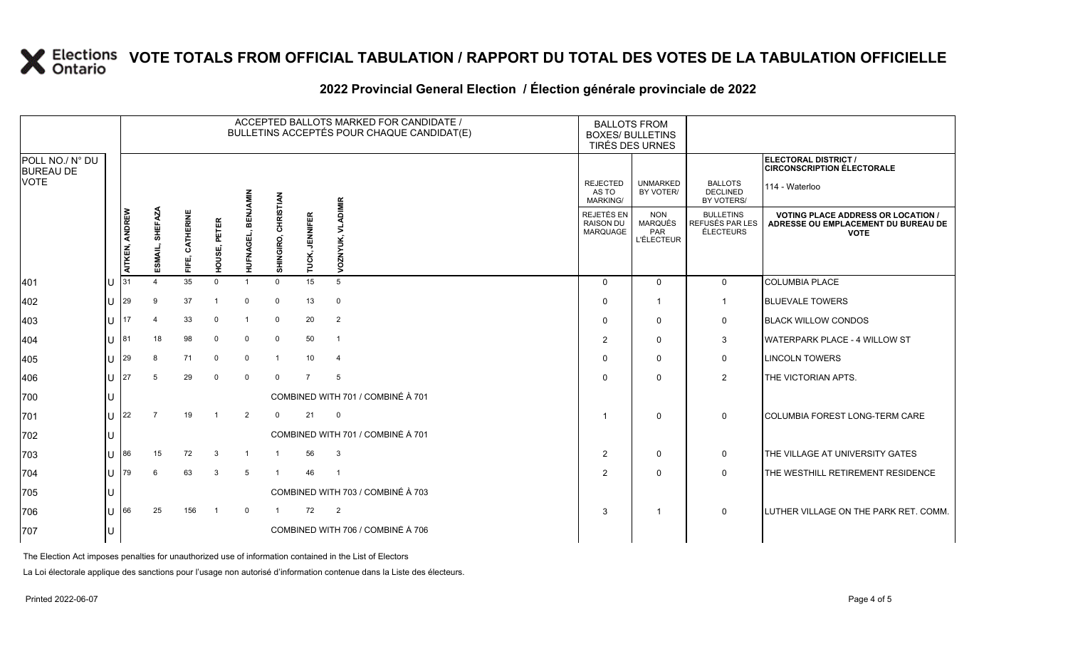### **2022 Provincial General Election / Élection générale provinciale de 2022**

|                                     |    |                                                                                                              |    |                        |                                 |                             |                                            |                                                          | ACCEPTED BALLOTS MARKED FOR CANDIDATE /<br>BULLETINS ACCEPTÉS POUR CHAQUE CANDIDAT(E) |                                                                                                 | <b>BALLOTS FROM</b><br><b>BOXES/ BULLETINS</b><br>TIRÉS DES URNES |                                                        |                                                                  |
|-------------------------------------|----|--------------------------------------------------------------------------------------------------------------|----|------------------------|---------------------------------|-----------------------------|--------------------------------------------|----------------------------------------------------------|---------------------------------------------------------------------------------------|-------------------------------------------------------------------------------------------------|-------------------------------------------------------------------|--------------------------------------------------------|------------------------------------------------------------------|
| POLL NO./ N° DU<br><b>BUREAU DE</b> |    |                                                                                                              |    |                        |                                 |                             |                                            |                                                          |                                                                                       |                                                                                                 |                                                                   |                                                        | <b>ELECTORAL DISTRICT /</b><br><b>CIRCONSCRIPTION ÉLECTORALE</b> |
| <b>VOTE</b>                         |    |                                                                                                              |    |                        |                                 |                             |                                            |                                                          |                                                                                       | <b>REJECTED</b><br>AS TO<br><b>MARKING/</b>                                                     | <b>UNMARKED</b><br>BY VOTER/                                      | <b>BALLOTS</b><br><b>DECLINED</b><br><b>BY VOTERS/</b> | 114 - Waterloo                                                   |
|                                     |    | SHEFAZA<br>AITKEN, ANDREW<br>CATHERINE<br><b>REN</b><br>HOUSE, PETER<br><b>HUFNAGEL,</b><br>ESMAIL,<br>FIFE, |    | CHRISTIAN<br>SHINGIRO, | <b>JENNIFER</b><br><b>TUCK,</b> | <b>VLADIMIR</b><br>VOZNYUK, | REJETÉS EN<br><b>RAISON DU</b><br>MARQUAGE | <b>NON</b><br><b>MARQUÉS</b><br>PAR<br><b>L'ÉLECTEUR</b> | <b>BULLETINS</b><br>REFUSÉS PAR LES<br>ÉLECTEURS                                      | <b>VOTING PLACE ADDRESS OR LOCATION /</b><br>ADRESSE OU EMPLACEMENT DU BUREAU DE<br><b>VOTE</b> |                                                                   |                                                        |                                                                  |
| 401                                 | ΙU | 31                                                                                                           |    | 35                     | $\Omega$                        |                             | $\mathbf 0$                                | 15                                                       | 5                                                                                     | $\Omega$                                                                                        | $\Omega$                                                          | $\mathbf 0$                                            | <b>COLUMBIA PLACE</b>                                            |
| 402                                 | lu | 29                                                                                                           | 9  | 37                     |                                 | $\mathbf 0$                 | $\mathbf 0$                                | 13                                                       | $\mathbf 0$                                                                           | $\Omega$                                                                                        | -1                                                                | -1                                                     | <b>BLUEVALE TOWERS</b>                                           |
| $ 403\rangle$                       | IП | 17                                                                                                           |    | 33                     | $\Omega$                        |                             | $\mathbf 0$                                | 20                                                       | $\overline{2}$                                                                        | $\Omega$                                                                                        | $\Omega$                                                          | 0                                                      | <b>BLACK WILLOW CONDOS</b>                                       |
| 404                                 | lu | 81                                                                                                           | 18 | 98                     | $\Omega$                        | $\Omega$                    | $\mathbf 0$                                | 50                                                       | $\overline{1}$                                                                        | $\overline{2}$                                                                                  | $\mathbf 0$                                                       | 3                                                      | WATERPARK PLACE - 4 WILLOW ST                                    |
| 405                                 | lu | 29                                                                                                           | 8  | 71                     | $\mathbf{0}$                    | $\mathbf 0$                 | $\overline{1}$                             | 10 <sup>°</sup>                                          | $\overline{4}$                                                                        | $\Omega$                                                                                        | $\mathbf{0}$                                                      | 0                                                      | <b>LINCOLN TOWERS</b>                                            |
| 406                                 | IП | 27                                                                                                           | 5  | 29                     | $\Omega$                        | $\mathbf 0$                 | $\Omega$                                   | $\overline{7}$                                           | 5                                                                                     | $\Omega$                                                                                        | $\Omega$                                                          | $\overline{2}$                                         | THE VICTORIAN APTS.                                              |
| 700                                 |    |                                                                                                              |    |                        |                                 |                             |                                            |                                                          | COMBINED WITH 701 / COMBINÉ À 701                                                     |                                                                                                 |                                                                   |                                                        |                                                                  |
| 701                                 | lu | 22                                                                                                           |    | 19                     | $\overline{1}$                  | 2                           | $\mathbf 0$                                | 21                                                       | $\mathbf 0$                                                                           | -1                                                                                              | $\mathbf{0}$                                                      | $\mathbf 0$                                            | <b>COLUMBIA FOREST LONG-TERM CARE</b>                            |
| 702                                 | IU |                                                                                                              |    |                        |                                 |                             |                                            |                                                          | COMBINED WITH 701 / COMBINÉ À 701                                                     |                                                                                                 |                                                                   |                                                        |                                                                  |
| 703                                 | ΙU | 86                                                                                                           | 15 | 72                     | 3                               |                             |                                            | 56                                                       | 3                                                                                     | $\overline{2}$                                                                                  | $\mathbf 0$                                                       | $\mathbf 0$                                            | THE VILLAGE AT UNIVERSITY GATES                                  |
| 704                                 | lu | 79                                                                                                           | 6  | 63                     | 3                               | 5                           | $\overline{1}$                             | 46                                                       | $\overline{\phantom{0}}$                                                              | 2                                                                                               | $\Omega$                                                          | $\mathbf 0$                                            | THE WESTHILL RETIREMENT RESIDENCE                                |
| 705                                 | Iυ |                                                                                                              |    |                        |                                 |                             |                                            |                                                          | COMBINED WITH 703 / COMBINÉ À 703                                                     |                                                                                                 |                                                                   |                                                        |                                                                  |
| 706                                 | IП | 66                                                                                                           | 25 | 156                    |                                 | $\Omega$                    |                                            | 72                                                       | $\overline{2}$                                                                        | 3                                                                                               | $\mathbf{1}$                                                      | $\mathbf 0$                                            | LUTHER VILLAGE ON THE PARK RET. COMM.                            |
| 707                                 | IU |                                                                                                              |    |                        |                                 |                             |                                            |                                                          | COMBINED WITH 706 / COMBINÉ À 706                                                     |                                                                                                 |                                                                   |                                                        |                                                                  |

The Election Act imposes penalties for unauthorized use of information contained in the List of Electors